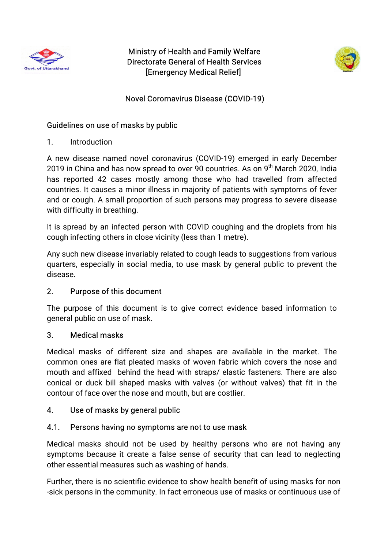

Ministry of Health and Family Welfare Directorate General of Health Services [Emergency Medical Relief]



### Novel Corornavirus Disease (COVID-19)

#### Guidelines on use of masks by public

1. Introduction

A new disease named novel coronavirus (COVID-19) emerged in early December 2019 in China and has now spread to over 90 countries. As on 9<sup>th</sup> March 2020, India has reported 42 cases mostly among those who had travelled from affected countries. It causes a minor illness in majority of patients with symptoms of fever and or cough. A small proportion of such persons may progress to severe disease with difficulty in breathing.

It is spread by an infected person with COVID coughing and the droplets from his cough infecting others in close vicinity (less than 1 metre).

Any such new disease invariably related to cough leads to suggestions from various quarters, especially in social media, to use mask by general public to prevent the disease.

### 2. Purpose of this document

The purpose of this document is to give correct evidence based information to general public on use of mask.

### 3. Medicalmasks

Medical masks of different size and shapes are available in the market. The common ones are flat pleated masks of woven fabric which covers the nose and mouth and affixed behind the head with straps/elastic fasteners. There are also conical or duck bill shaped masks with valves (or without valves) that fit in the contour of face over the nose and mouth, but are costlier.

### 4. Use of masks by general public

### 4.1. Persons having no symptoms are not to use mask

Medical masks should not be used by healthy persons who are not having any symptoms because it create a false sense of security that can lead to neglecting other essential measures such as washing of hands.

Further, there is no scientific evidence to show health benefit of using masks for non -sick persons in the community. In fact erroneous use of masks or continuous use of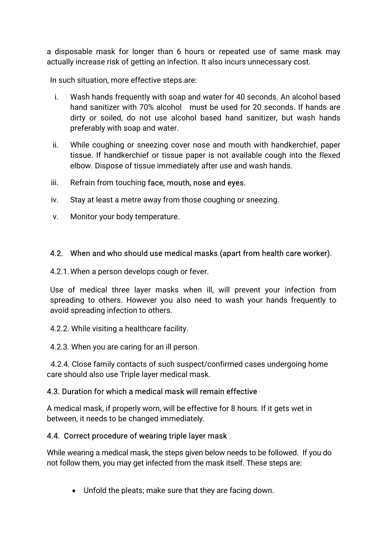a disposable mask for longer than 6 hours or repeated use of same mask may actually increase risk of getting an infection. It also incurs unnecessary cost.

In such situation, more effective steps are:

- i. Wash hands frequently with soap and water for 40 seconds. An alcohol based hand sanitizer with 70% alcohol must be used for 20 seconds. If hands are dirty or soiled, do not use alcohol based hand sanitizer, but wash hands preferably with soap and water.
- ii. While coughing or sneezing cover nose and mouth with handkerchief, paper tissue. If handkerchief or tissue paper is not available cough into the flexed elbow. Dispose of tissue immediately after use and wash hands.
- iii. Refrain from touching face, mouth, nose and eves.
- iv. Stay at least a metre away from those coughing or sneezing.
- v. Monitor your body temperature.

### 4.2. When and who should use medical masks (apart from health care worker).

4.2.1. When a person develops cough or fever.

Use of medical three layer masks when ill, will prevent your infection from spreading to others. However you also need to wash your hands frequently to avoid spreading infection to others.

4.2.2. While visiting a healthcare facility.

4.2.3. When you are caring for an ill person.

4.2.4. Close family contacts of such suspect/confirmed cases undergoing home care should also use Triple layer medical mask.

#### 4.3. Duration for which a medical mask will remain effective

A medical mask, if properly worn, will be effective for 8 hours. If it gets wet in between, it needs to be changed immediately.

#### 4.4. Correct procedure of wearing triple layer mask

While wearing a medical mask, the steps given below needs to be followed. If you do not follow them, you may get infected from the mask itself. These steps are:

• Unfold the pleats; make sure that they are facing down.